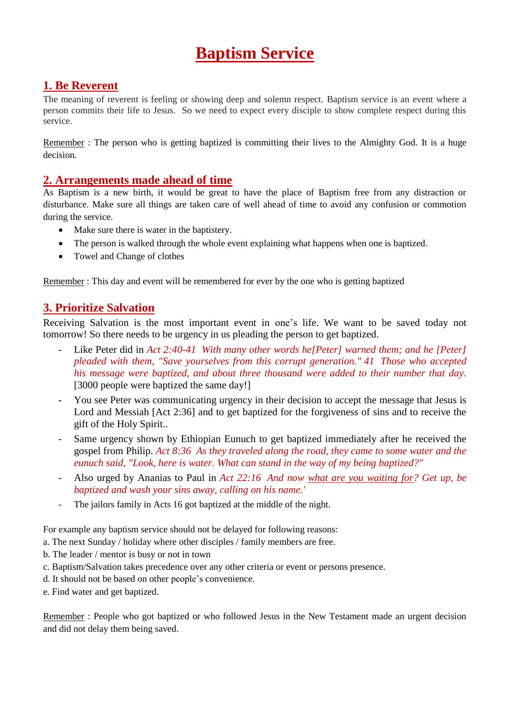# **Baptism Service**

## **1. Be Reverent**

The meaning of reverent is feeling or showing deep and solemn respect. Baptism service is an event where a person commits their life to Jesus. So we need to expect every disciple to show complete respect during this service.

Remember : The person who is getting baptized is committing their lives to the Almighty God. It is a huge decision.

#### **2. Arrangements made ahead of time**

As Baptism is a new birth, it would be great to have the place of Baptism free from any distraction or disturbance. Make sure all things are taken care of well ahead of time to avoid any confusion or commotion during the service.

- Make sure there is water in the baptistery.
- The person is walked through the whole event explaining what happens when one is baptized.
- Towel and Change of clothes

Remember : This day and event will be remembered for ever by the one who is getting baptized

#### **3. Prioritize Salvation**

Receiving Salvation is the most important event in one's life. We want to be saved today not tomorrow! So there needs to be urgency in us pleading the person to get baptized.

- Like Peter did in *Act 2:40-41 With many other words he[Peter] warned them; and he [Peter] pleaded with them, "Save yourselves from this corrupt generation." 41 Those who accepted his message were baptized, and about three thousand were added to their number that day.* [3000 people were baptized the same day!]
- You see Peter was communicating urgency in their decision to accept the message that Jesus is Lord and Messiah [Act 2:36] and to get baptized for the forgiveness of sins and to receive the gift of the Holy Spirit..
- Same urgency shown by Ethiopian Eunuch to get baptized immediately after he received the gospel from Philip. *Act 8:36 As they traveled along the road, they came to some water and the eunuch said, "Look, here is water. What can stand in the way of my being baptized?"*
- Also urged by Ananias to Paul in *Act 22:16 And now what are you waiting for? Get up, be baptized and wash your sins away, calling on his name.'*
- The jailors family in Acts 16 got baptized at the middle of the night.

For example any baptism service should not be delayed for following reasons:

- a. The next Sunday / holiday where other disciples / family members are free.
- b. The leader / mentor is busy or not in town
- c. Baptism/Salvation takes precedence over any other criteria or event or persons presence.
- d. It should not be based on other people's convenience.
- e. Find water and get baptized.

Remember : People who got baptized or who followed Jesus in the New Testament made an urgent decision and did not delay them being saved.